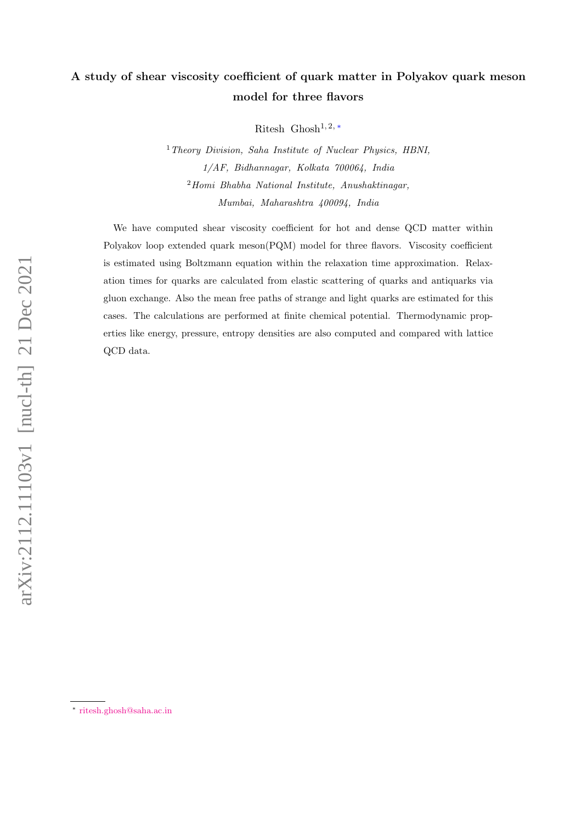# A study of shear viscosity coefficient of quark matter in Polyakov quark meson model for three flavors

Ritesh Ghosh<sup>1, 2, \*</sup>

<sup>1</sup> Theory Division, Saha Institute of Nuclear Physics, HBNI, 1/AF, Bidhannagar, Kolkata 700064, India <sup>2</sup>Homi Bhabha National Institute, Anushaktinagar, Mumbai, Maharashtra 400094, India

We have computed shear viscosity coefficient for hot and dense QCD matter within Polyakov loop extended quark meson(PQM) model for three flavors. Viscosity coefficient is estimated using Boltzmann equation within the relaxation time approximation. Relaxation times for quarks are calculated from elastic scattering of quarks and antiquarks via gluon exchange. Also the mean free paths of strange and light quarks are estimated for this cases. The calculations are performed at finite chemical potential. Thermodynamic properties like energy, pressure, entropy densities are also computed and compared with lattice QCD data.

<span id="page-0-0"></span><sup>∗</sup> [ritesh.ghosh@saha.ac.in](mailto:ritesh.ghosh@saha.ac.in)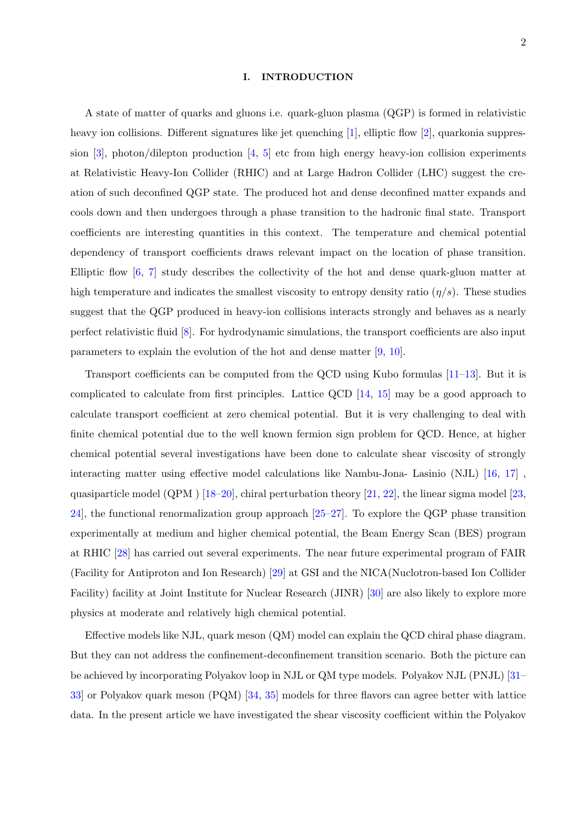### I. INTRODUCTION

A state of matter of quarks and gluons i.e. quark-gluon plasma (QGP) is formed in relativistic heavy ion collisions. Different signatures like jet quenching [\[1\]](#page-11-0), elliptic flow [\[2\]](#page-12-0), quarkonia suppres-sion [\[3\]](#page-12-1), photon/dilepton production  $[4, 5]$  $[4, 5]$  $[4, 5]$  etc from high energy heavy-ion collision experiments at Relativistic Heavy-Ion Collider (RHIC) and at Large Hadron Collider (LHC) suggest the creation of such deconfined QGP state. The produced hot and dense deconfined matter expands and cools down and then undergoes through a phase transition to the hadronic final state. Transport coefficients are interesting quantities in this context. The temperature and chemical potential dependency of transport coefficients draws relevant impact on the location of phase transition. Elliptic flow [\[6,](#page-12-4) [7\]](#page-12-5) study describes the collectivity of the hot and dense quark-gluon matter at high temperature and indicates the smallest viscosity to entropy density ratio  $(\eta/s)$ . These studies suggest that the QGP produced in heavy-ion collisions interacts strongly and behaves as a nearly perfect relativistic fluid [\[8\]](#page-12-6). For hydrodynamic simulations, the transport coefficients are also input parameters to explain the evolution of the hot and dense matter [\[9,](#page-12-7) [10\]](#page-12-8).

Transport coefficients can be computed from the QCD using Kubo formulas [\[11–](#page-12-9)[13\]](#page-12-10). But it is complicated to calculate from first principles. Lattice QCD [\[14,](#page-12-11) [15\]](#page-12-12) may be a good approach to calculate transport coefficient at zero chemical potential. But it is very challenging to deal with finite chemical potential due to the well known fermion sign problem for QCD. Hence, at higher chemical potential several investigations have been done to calculate shear viscosity of strongly interacting matter using effective model calculations like Nambu-Jona- Lasinio (NJL) [\[16,](#page-12-13) [17\]](#page-12-14) , quasiparticle model  $(QPM)$  [\[18–](#page-12-15)[20\]](#page-12-16), chiral perturbation theory [\[21,](#page-12-17) [22\]](#page-12-18), the linear sigma model [\[23,](#page-12-19) [24\]](#page-12-20), the functional renormalization group approach [\[25–](#page-12-21)[27\]](#page-12-22). To explore the QGP phase transition experimentally at medium and higher chemical potential, the Beam Energy Scan (BES) program at RHIC [\[28\]](#page-12-23) has carried out several experiments. The near future experimental program of FAIR (Facility for Antiproton and Ion Research) [\[29\]](#page-12-24) at GSI and the NICA(Nuclotron-based Ion Collider Facility) facility at Joint Institute for Nuclear Research (JINR) [\[30\]](#page-12-25) are also likely to explore more physics at moderate and relatively high chemical potential.

Effective models like NJL, quark meson (QM) model can explain the QCD chiral phase diagram. But they can not address the confinement-deconfinement transition scenario. Both the picture can be achieved by incorporating Polyakov loop in NJL or QM type models. Polyakov NJL (PNJL) [\[31–](#page-12-26) [33\]](#page-13-0) or Polyakov quark meson (PQM) [\[34,](#page-13-1) [35\]](#page-13-2) models for three flavors can agree better with lattice data. In the present article we have investigated the shear viscosity coefficient within the Polyakov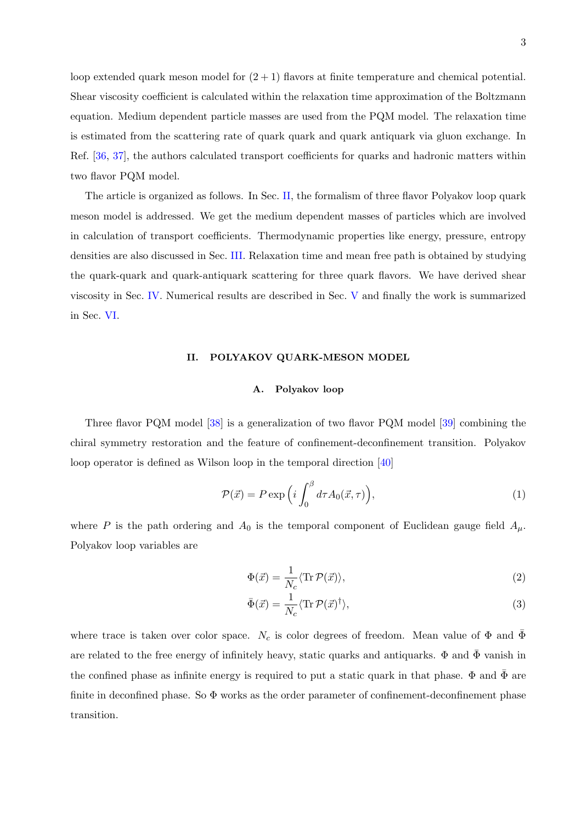loop extended quark meson model for  $(2 + 1)$  flavors at finite temperature and chemical potential. Shear viscosity coefficient is calculated within the relaxation time approximation of the Boltzmann equation. Medium dependent particle masses are used from the PQM model. The relaxation time is estimated from the scattering rate of quark quark and quark antiquark via gluon exchange. In Ref. [\[36,](#page-13-3) [37\]](#page-13-4), the authors calculated transport coefficients for quarks and hadronic matters within two flavor PQM model.

The article is organized as follows. In Sec. [II,](#page-2-0) the formalism of three flavor Polyakov loop quark meson model is addressed. We get the medium dependent masses of particles which are involved in calculation of transport coefficients. Thermodynamic properties like energy, pressure, entropy densities are also discussed in Sec. [III.](#page-5-0) Relaxation time and mean free path is obtained by studying the quark-quark and quark-antiquark scattering for three quark flavors. We have derived shear viscosity in Sec. [IV.](#page-6-0) Numerical results are described in Sec. [V](#page-9-0) and finally the work is summarized in Sec. [VI.](#page-11-1)

# <span id="page-2-0"></span>II. POLYAKOV QUARK-MESON MODEL

# A. Polyakov loop

Three flavor PQM model [\[38\]](#page-13-5) is a generalization of two flavor PQM model [\[39\]](#page-13-6) combining the chiral symmetry restoration and the feature of confinement-deconfinement transition. Polyakov loop operator is defined as Wilson loop in the temporal direction [\[40\]](#page-13-7)

$$
\mathcal{P}(\vec{x}) = P \exp\left(i \int_0^\beta d\tau A_0(\vec{x}, \tau)\right),\tag{1}
$$

where P is the path ordering and  $A_0$  is the temporal component of Euclidean gauge field  $A_\mu$ . Polyakov loop variables are

$$
\Phi(\vec{x}) = \frac{1}{N_c} \langle \text{Tr} \, \mathcal{P}(\vec{x}) \rangle,\tag{2}
$$

$$
\bar{\Phi}(\vec{x}) = \frac{1}{N_c} \langle \text{Tr} \, \mathcal{P}(\vec{x})^\dagger \rangle,\tag{3}
$$

where trace is taken over color space.  $N_c$  is color degrees of freedom. Mean value of  $\Phi$  and  $\bar{\Phi}$ are related to the free energy of infinitely heavy, static quarks and antiquarks.  $\Phi$  and  $\bar{\Phi}$  vanish in the confined phase as infinite energy is required to put a static quark in that phase.  $\Phi$  and  $\bar{\Phi}$  are finite in deconfined phase. So  $\Phi$  works as the order parameter of confinement-deconfinement phase transition.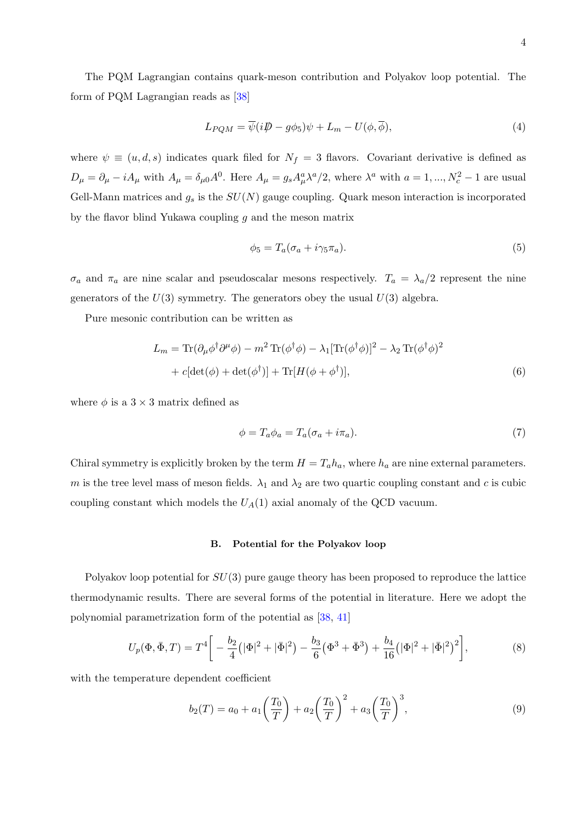$$
L_{PQM} = \overline{\psi}(i\rlap{/}D - g\phi_5)\psi + L_m - U(\phi, \overline{\phi}),\tag{4}
$$

where  $\psi \equiv (u, d, s)$  indicates quark filed for  $N_f = 3$  flavors. Covariant derivative is defined as  $D_{\mu} = \partial_{\mu} - iA_{\mu}$  with  $A_{\mu} = \delta_{\mu 0}A^{0}$ . Here  $A_{\mu} = g_{s}A_{\mu}^{a}\lambda^{a}/2$ , where  $\lambda^{a}$  with  $a = 1, ..., N_{c}^{2} - 1$  are usual Gell-Mann matrices and  $g_s$  is the  $SU(N)$  gauge coupling. Quark meson interaction is incorporated by the flavor blind Yukawa coupling  $g$  and the meson matrix

$$
\phi_5 = T_a(\sigma_a + i\gamma_5 \pi_a). \tag{5}
$$

 $\sigma_a$  and  $\pi_a$  are nine scalar and pseudoscalar mesons respectively.  $T_a = \lambda_a/2$  represent the nine generators of the  $U(3)$  symmetry. The generators obey the usual  $U(3)$  algebra.

Pure mesonic contribution can be written as

$$
L_m = \text{Tr}(\partial_\mu \phi^\dagger \partial^\mu \phi) - m^2 \text{Tr}(\phi^\dagger \phi) - \lambda_1 [\text{Tr}(\phi^\dagger \phi)]^2 - \lambda_2 \text{Tr}(\phi^\dagger \phi)^2
$$
  
+  $c[\text{det}(\phi) + \text{det}(\phi^\dagger)] + \text{Tr}[H(\phi + \phi^\dagger)],$  (6)

where  $\phi$  is a 3  $\times$  3 matrix defined as

$$
\phi = T_a \phi_a = T_a (\sigma_a + i\pi_a). \tag{7}
$$

Chiral symmetry is explicitly broken by the term  $H = T_a h_a$ , where  $h_a$  are nine external parameters. m is the tree level mass of meson fields.  $\lambda_1$  and  $\lambda_2$  are two quartic coupling constant and c is cubic coupling constant which models the  $U_A(1)$  axial anomaly of the QCD vacuum.

# B. Potential for the Polyakov loop

Polyakov loop potential for  $SU(3)$  pure gauge theory has been proposed to reproduce the lattice thermodynamic results. There are several forms of the potential in literature. Here we adopt the polynomial parametrization form of the potential as [\[38,](#page-13-5) [41\]](#page-13-8)

$$
U_p(\Phi, \bar{\Phi}, T) = T^4 \bigg[ -\frac{b_2}{4} \big( |\Phi|^2 + |\bar{\Phi}|^2 \big) - \frac{b_3}{6} \big( \Phi^3 + \bar{\Phi}^3 \big) + \frac{b_4}{16} \big( |\Phi|^2 + |\bar{\Phi}|^2 \big)^2 \bigg],\tag{8}
$$

with the temperature dependent coefficient

$$
b_2(T) = a_0 + a_1 \left(\frac{T_0}{T}\right) + a_2 \left(\frac{T_0}{T}\right)^2 + a_3 \left(\frac{T_0}{T}\right)^3, \tag{9}
$$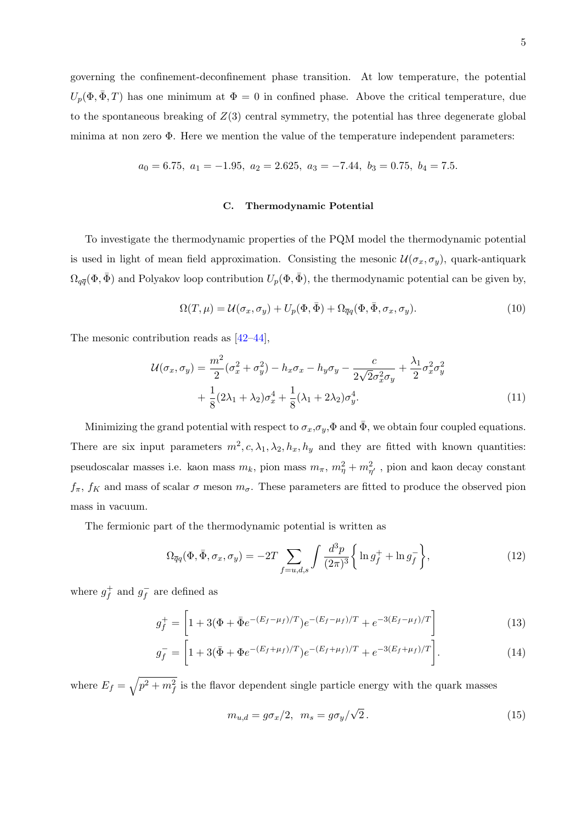governing the confinement-deconfinement phase transition. At low temperature, the potential  $U_p(\Phi, \bar{\Phi}, T)$  has one minimum at  $\Phi = 0$  in confined phase. Above the critical temperature, due to the spontaneous breaking of  $Z(3)$  central symmetry, the potential has three degenerate global minima at non zero  $\Phi$ . Here we mention the value of the temperature independent parameters:

$$
a_0 = 6.75, \ a_1 = -1.95, \ a_2 = 2.625, \ a_3 = -7.44, \ b_3 = 0.75, \ b_4 = 7.5.
$$

### C. Thermodynamic Potential

To investigate the thermodynamic properties of the PQM model the thermodynamic potential is used in light of mean field approximation. Consisting the mesonic  $\mathcal{U}(\sigma_x, \sigma_y)$ , quark-antiquark  $\Omega_{q\bar{q}}(\Phi, \bar{\Phi})$  and Polyakov loop contribution  $U_p(\Phi, \bar{\Phi})$ , the thermodynamic potential can be given by,

$$
\Omega(T,\mu) = \mathcal{U}(\sigma_x, \sigma_y) + U_p(\Phi, \bar{\Phi}) + \Omega_{\bar{q}q}(\Phi, \bar{\Phi}, \sigma_x, \sigma_y). \tag{10}
$$

The mesonic contribution reads as [\[42–](#page-13-9)[44\]](#page-13-10),

$$
\mathcal{U}(\sigma_x, \sigma_y) = \frac{m^2}{2} (\sigma_x^2 + \sigma_y^2) - h_x \sigma_x - h_y \sigma_y - \frac{c}{2\sqrt{2}\sigma_x^2 \sigma_y} + \frac{\lambda_1}{2} \sigma_x^2 \sigma_y^2
$$

$$
+ \frac{1}{8} (2\lambda_1 + \lambda_2) \sigma_x^4 + \frac{1}{8} (\lambda_1 + 2\lambda_2) \sigma_y^4. \tag{11}
$$

Minimizing the grand potential with respect to  $\sigma_x, \sigma_y, \Phi$  and  $\bar{\Phi}$ , we obtain four coupled equations. There are six input parameters  $m^2$ ,  $c$ ,  $\lambda_1$ ,  $\lambda_2$ ,  $h_x$ ,  $h_y$  and they are fitted with known quantities: pseudoscalar masses i.e. kaon mass  $m_k$ , pion mass  $m_{\pi}$ ,  $m_{\eta}^2 + m_{\eta'}^2$ , pion and kaon decay constant  $f_{\pi}$ ,  $f_K$  and mass of scalar  $\sigma$  meson  $m_{\sigma}$ . These parameters are fitted to produce the observed pion mass in vacuum.

The fermionic part of the thermodynamic potential is written as

$$
\Omega_{\overline{q}q}(\Phi, \overline{\Phi}, \sigma_x, \sigma_y) = -2T \sum_{f=u,d,s} \int \frac{d^3p}{(2\pi)^3} \left\{ \ln g_f^+ + \ln g_f^- \right\},\tag{12}
$$

where  $g_f^+$  $g_f^+$  and  $g_f^ \bar{f}$  are defined as

$$
g_f^+ = \left[1 + 3(\Phi + \bar{\Phi}e^{-(E_f - \mu_f)/T})e^{-(E_f - \mu_f)/T} + e^{-3(E_f - \mu_f)/T}\right]
$$
(13)

$$
g_f^- = \left[1 + 3(\bar{\Phi} + \Phi e^{-(E_f + \mu_f)/T})e^{-(E_f + \mu_f)/T} + e^{-3(E_f + \mu_f)/T}\right].
$$
\n(14)

where  $E_f = \sqrt{p^2 + m_f^2}$  is the flavor dependent single particle energy with the quark masses

<span id="page-4-0"></span>
$$
m_{u,d} = g\sigma_x/2, \ \ m_s = g\sigma_y/\sqrt{2} \,. \tag{15}
$$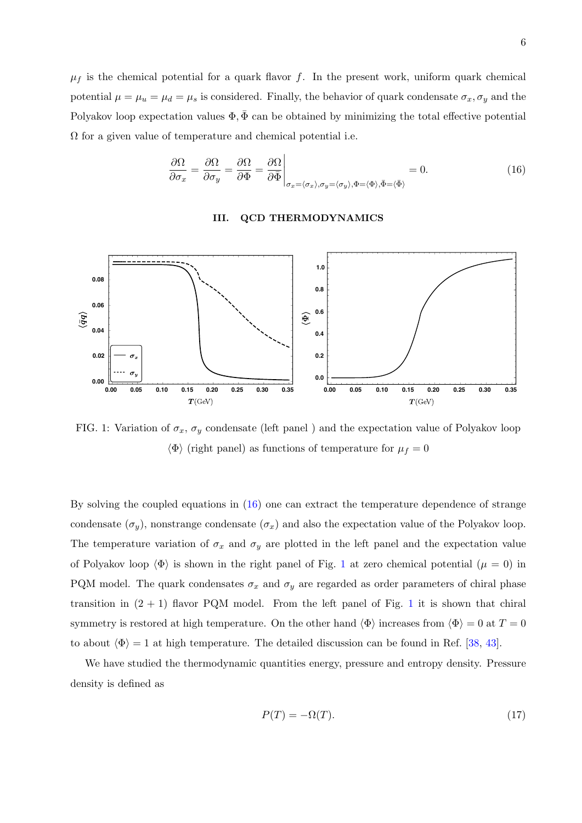$\mu_f$  is the chemical potential for a quark flavor f. In the present work, uniform quark chemical potential  $\mu = \mu_u = \mu_d = \mu_s$  is considered. Finally, the behavior of quark condensate  $\sigma_x, \sigma_y$  and the Polyakov loop expectation values  $\Phi$ ,  $\bar{\Phi}$  can be obtained by minimizing the total effective potential  $\Omega$  for a given value of temperature and chemical potential i.e.

<span id="page-5-1"></span>
$$
\frac{\partial \Omega}{\partial \sigma_x} = \frac{\partial \Omega}{\partial \sigma_y} = \frac{\partial \Omega}{\partial \Phi} = \frac{\partial \Omega}{\partial \overline{\Phi}} \Big|_{\sigma_x = (\sigma_x), \sigma_y = (\sigma_y), \Phi = (\Phi), \overline{\Phi} = (\overline{\Phi})} = 0. \tag{16}
$$

#### <span id="page-5-0"></span>III. **QCD THERMODYNAMICS**

<span id="page-5-2"></span>

FIG. 1: Variation of  $\sigma_x$ ,  $\sigma_y$  condensate (left panel) and the expectation value of Polyakov loop  $\langle \Phi \rangle$  (right panel) as functions of temperature for  $\mu_f = 0$ 

By solving the coupled equations in  $(16)$  one can extract the temperature dependence of strange condensate  $(\sigma_y)$ , nonstrange condensate  $(\sigma_x)$  and also the expectation value of the Polyakov loop. The temperature variation of  $\sigma_x$  and  $\sigma_y$  are plotted in the left panel and the expectation value of Polyakov loop  $\langle \Phi \rangle$  is shown in the right panel of Fig. 1 at zero chemical potential  $(\mu = 0)$  in PQM model. The quark condensates  $\sigma_x$  and  $\sigma_y$  are regarded as order parameters of chiral phase transition in  $(2 + 1)$  flavor PQM model. From the left panel of Fig. 1 it is shown that chiral symmetry is restored at high temperature. On the other hand  $\langle \Phi \rangle$  increases from  $\langle \Phi \rangle = 0$  at  $T = 0$ to about  $\langle \Phi \rangle = 1$  at high temperature. The detailed discussion can be found in Ref. [38, 43].

We have studied the thermodynamic quantities energy, pressure and entropy density. Pressure density is defined as

$$
P(T) = -\Omega(T). \tag{17}
$$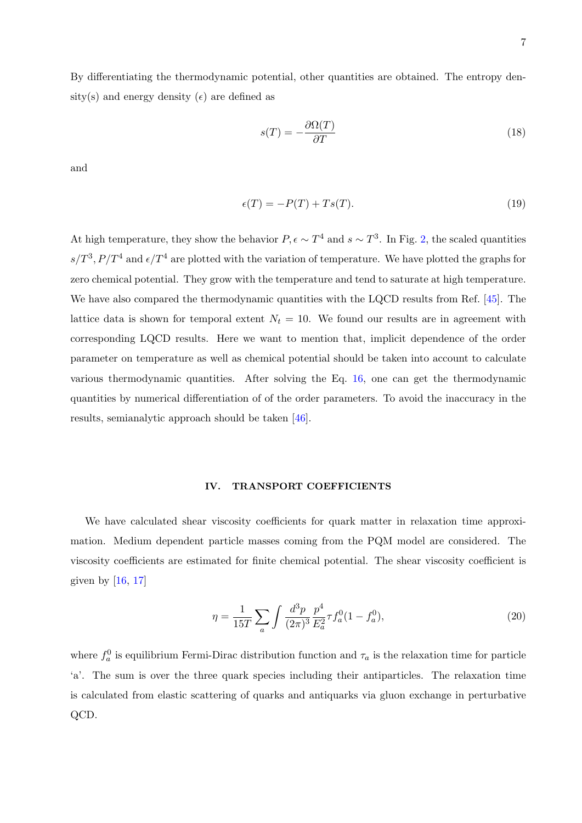By differentiating the thermodynamic potential, other quantities are obtained. The entropy density(s) and energy density ( $\epsilon$ ) are defined as

$$
s(T) = -\frac{\partial \Omega(T)}{\partial T} \tag{18}
$$

and

$$
\epsilon(T) = -P(T) + Ts(T). \tag{19}
$$

At high temperature, they show the behavior  $P, \epsilon \sim T^4$  and  $s \sim T^3$ . In Fig. [2,](#page-7-0) the scaled quantities  $s/T^3$ ,  $P/T^4$  and  $\epsilon/T^4$  are plotted with the variation of temperature. We have plotted the graphs for zero chemical potential. They grow with the temperature and tend to saturate at high temperature. We have also compared the thermodynamic quantities with the LQCD results from Ref. [\[45\]](#page-13-12). The lattice data is shown for temporal extent  $N_t = 10$ . We found our results are in agreement with corresponding LQCD results. Here we want to mention that, implicit dependence of the order parameter on temperature as well as chemical potential should be taken into account to calculate various thermodynamic quantities. After solving the Eq. [16,](#page-5-1) one can get the thermodynamic quantities by numerical differentiation of of the order parameters. To avoid the inaccuracy in the results, semianalytic approach should be taken [\[46\]](#page-13-13).

# <span id="page-6-0"></span>IV. TRANSPORT COEFFICIENTS

We have calculated shear viscosity coefficients for quark matter in relaxation time approximation. Medium dependent particle masses coming from the PQM model are considered. The viscosity coefficients are estimated for finite chemical potential. The shear viscosity coefficient is given by  $[16, 17]$  $[16, 17]$  $[16, 17]$ 

<span id="page-6-1"></span>
$$
\eta = \frac{1}{15T} \sum_{a} \int \frac{d^3 p}{(2\pi)^3} \frac{p^4}{E_a^2} \tau f_a^0 (1 - f_a^0),\tag{20}
$$

where  $f_a^0$  is equilibrium Fermi-Dirac distribution function and  $\tau_a$  is the relaxation time for particle 'a'. The sum is over the three quark species including their antiparticles. The relaxation time is calculated from elastic scattering of quarks and antiquarks via gluon exchange in perturbative QCD.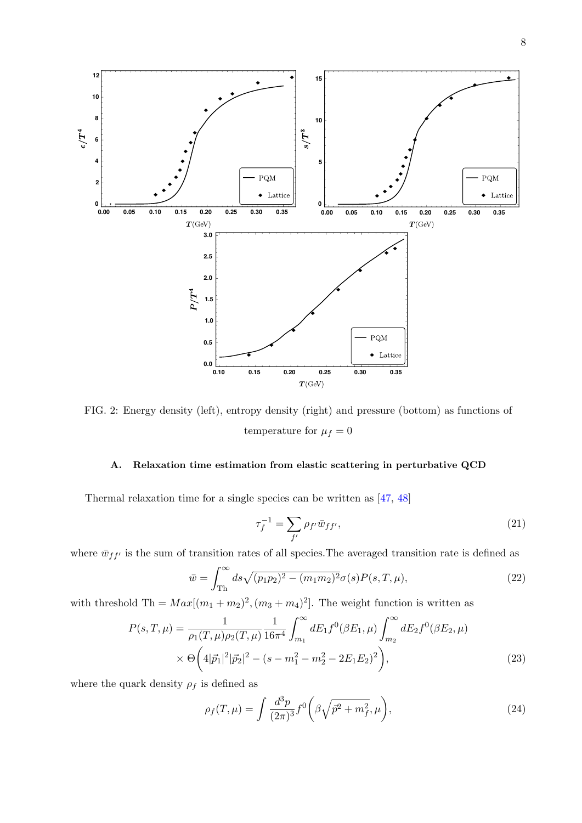<span id="page-7-0"></span>

FIG. 2: Energy density (left), entropy density (right) and pressure (bottom) as functions of temperature for  $\mu_f = 0$ 

#### A. Relaxation time estimation from elastic scattering in perturbative QCD

Thermal relaxation time for a single species can be written as  $[47, 48]$ 

$$
\tau_f^{-1} = \sum_{f'} \rho_{f'} \bar{w}_{ff'},\tag{21}
$$

where  $\bar{w}_{ff'}$  is the sum of transition rates of all species. The averaged transition rate is defined as

$$
\bar{w} = \int_{\text{Th}}^{\infty} ds \sqrt{(p_1 p_2)^2 - (m_1 m_2)^2} \sigma(s) P(s, T, \mu), \tag{22}
$$

with threshold Th =  $Max[(m_1 + m_2)^2, (m_3 + m_4)^2]$ . The weight function is written as

$$
P(s,T,\mu) = \frac{1}{\rho_1(T,\mu)\rho_2(T,\mu)} \frac{1}{16\pi^4} \int_{m_1}^{\infty} dE_1 f^0(\beta E_1,\mu) \int_{m_2}^{\infty} dE_2 f^0(\beta E_2,\mu)
$$
  
 
$$
\times \Theta\left(4|\vec{p}_1|^2|\vec{p}_2|^2 - (s - m_1^2 - m_2^2 - 2E_1E_2)^2\right), \tag{23}
$$

where the quark density  $\rho_f$  is defined as

$$
\rho_f(T,\mu) = \int \frac{d^3p}{(2\pi)^3} f^0\bigg(\beta\sqrt{\vec{p}^2 + m_f^2}, \mu\bigg),\tag{24}
$$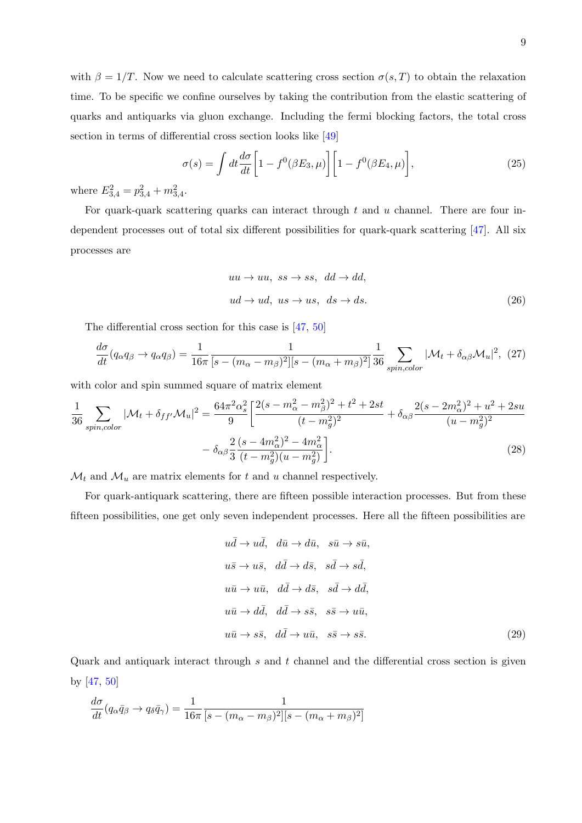with  $\beta = 1/T$ . Now we need to calculate scattering cross section  $\sigma(s,T)$  to obtain the relaxation time. To be specific we confine ourselves by taking the contribution from the elastic scattering of quarks and antiquarks via gluon exchange. Including the fermi blocking factors, the total cross section in terms of differential cross section looks like [\[49\]](#page-13-16)

$$
\sigma(s) = \int dt \frac{d\sigma}{dt} \left[ 1 - f^0(\beta E_3, \mu) \right] \left[ 1 - f^0(\beta E_4, \mu) \right],\tag{25}
$$

where  $E_{3,4}^2 = p_{3,4}^2 + m_{3,4}^2$ .

For quark-quark scattering quarks can interact through  $t$  and  $u$  channel. There are four independent processes out of total six different possibilities for quark-quark scattering [\[47\]](#page-13-14). All six processes are

$$
uu \to uu, \; ss \to ss, \; dd \to dd,
$$
  

$$
ud \to ud, \; us \to us, \; ds \to ds.
$$
 (26)

The differential cross section for this case is [\[47,](#page-13-14) [50\]](#page-13-17)

$$
\frac{d\sigma}{dt}(q_{\alpha}q_{\beta} \to q_{\alpha}q_{\beta}) = \frac{1}{16\pi} \frac{1}{[s - (m_{\alpha} - m_{\beta})^2][s - (m_{\alpha} + m_{\beta})^2]} \frac{1}{36} \sum_{spin, color} |\mathcal{M}_t + \delta_{\alpha\beta} \mathcal{M}_u|^2, (27)
$$

with color and spin summed square of matrix element

$$
\frac{1}{36} \sum_{spin, color} |\mathcal{M}_t + \delta_{ff'} \mathcal{M}_u|^2 = \frac{64\pi^2 \alpha_s^2}{9} \left[ \frac{2(s - m_\alpha^2 - m_\beta^2)^2 + t^2 + 2st}{(t - m_g^2)^2} + \delta_{\alpha\beta} \frac{2(s - 2m_\alpha^2)^2 + u^2 + 2su}{(u - m_g^2)^2} \right] - \delta_{\alpha\beta} \frac{2}{3} \frac{(s - 4m_\alpha^2)^2 - 4m_\alpha^2}{(t - m_g^2)(u - m_g^2)} \right].
$$
\n(28)

 $\mathcal{M}_t$  and  $\mathcal{M}_u$  are matrix elements for t and u channel respectively.

For quark-antiquark scattering, there are fifteen possible interaction processes. But from these fifteen possibilities, one get only seven independent processes. Here all the fifteen possibilities are

$$
u\bar{d} \to u\bar{d}, \quad d\bar{u} \to d\bar{u}, \quad s\bar{u} \to s\bar{u},
$$
  
\n
$$
u\bar{s} \to u\bar{s}, \quad d\bar{d} \to d\bar{s}, \quad s\bar{d} \to s\bar{d},
$$
  
\n
$$
u\bar{u} \to u\bar{u}, \quad d\bar{d} \to d\bar{s}, \quad s\bar{d} \to d\bar{d},
$$
  
\n
$$
u\bar{u} \to d\bar{d}, \quad d\bar{d} \to s\bar{s}, \quad s\bar{s} \to u\bar{u},
$$
  
\n
$$
u\bar{u} \to s\bar{s}, \quad d\bar{d} \to u\bar{u}, \quad s\bar{s} \to s\bar{s}.
$$
\n(29)

Quark and antiquark interact through  $s$  and  $t$  channel and the differential cross section is given by [\[47,](#page-13-14) [50\]](#page-13-17)

$$
\frac{d\sigma}{dt}(q_\alpha \bar{q}_\beta \to q_\delta \bar{q}_\gamma) = \frac{1}{16\pi} \frac{1}{[s - (m_\alpha - m_\beta)^2][s - (m_\alpha + m_\beta)^2]}
$$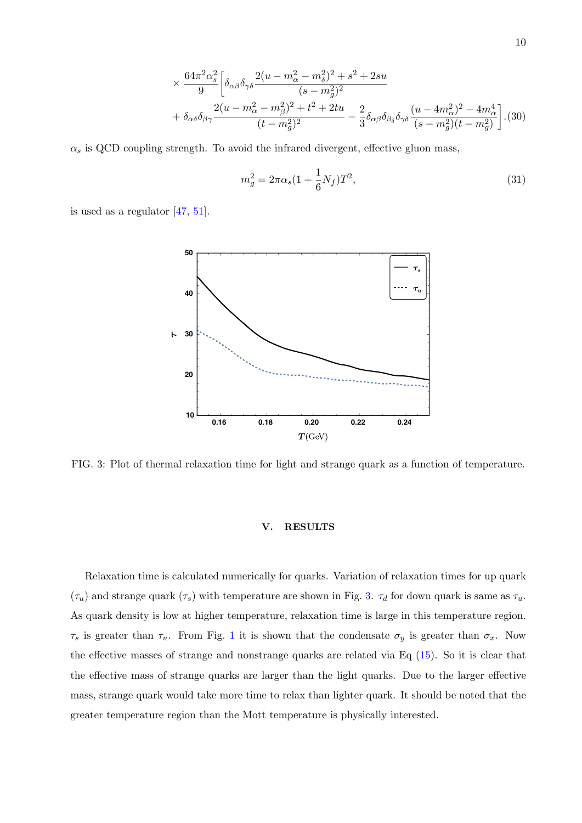$$
\times \frac{64\pi^2 \alpha_s^2}{9} \bigg[ \delta_{\alpha\beta} \delta_{\gamma\delta} \frac{2(u - m_\alpha^2 - m_\delta^2)^2 + s^2 + 2su}{(s - m_g^2)^2} + \delta_{\alpha\delta} \delta_{\beta\gamma} \frac{2(u - m_\alpha^2 - m_\beta^2)^2 + t^2 + 2tu}{(t - m_g^2)^2} - \frac{2}{3} \delta_{\alpha\beta} \delta_{\beta\delta} \delta_{\gamma\delta} \frac{(u - 4m_\alpha^2)^2 - 4m_\alpha^4}{(s - m_g^2)(t - m_g^2)} \bigg]. (30)
$$

 $\alpha_s$  is QCD coupling strength. To avoid the infrared divergent, effective gluon mass,

$$
m_g^2 = 2\pi\alpha_s (1 + \frac{1}{6}N_f)T^2,
$$
\n(31)

<span id="page-9-1"></span>is used as a regulator [\[47,](#page-13-14) [51\]](#page-13-18).



FIG. 3: Plot of thermal relaxation time for light and strange quark as a function of temperature.

### <span id="page-9-0"></span>V. RESULTS

Relaxation time is calculated numerically for quarks. Variation of relaxation times for up quark  $(\tau_u)$  and strange quark  $(\tau_s)$  with temperature are shown in Fig. [3.](#page-9-1)  $\tau_d$  for down quark is same as  $\tau_u$ . As quark density is low at higher temperature, relaxation time is large in this temperature region.  $\tau_s$  is greater than  $\tau_u$ . From Fig. [1](#page-5-2) it is shown that the condensate  $\sigma_y$  is greater than  $\sigma_x$ . Now the effective masses of strange and nonstrange quarks are related via Eq [\(15\)](#page-4-0). So it is clear that the effective mass of strange quarks are larger than the light quarks. Due to the larger effective mass, strange quark would take more time to relax than lighter quark. It should be noted that the greater temperature region than the Mott temperature is physically interested.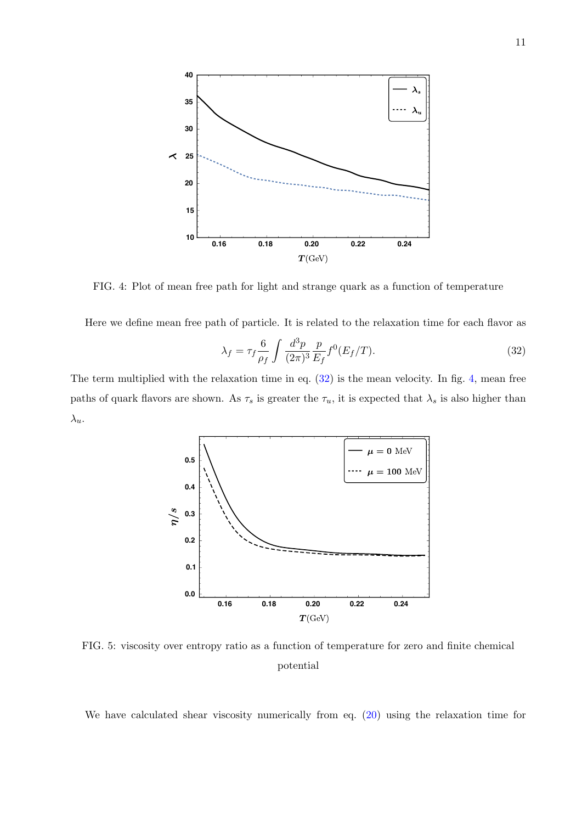<span id="page-10-1"></span>

FIG. 4: Plot of mean free path for light and strange quark as a function of temperature

Here we define mean free path of particle. It is related to the relaxation time for each flavor as

<span id="page-10-0"></span>
$$
\lambda_f = \tau_f \frac{6}{\rho_f} \int \frac{d^3 p}{(2\pi)^3} \frac{p}{E_f} f^0(E_f/T). \tag{32}
$$

<span id="page-10-2"></span>The term multiplied with the relaxation time in eq.  $(32)$  is the mean velocity. In fig. 4, mean free paths of quark flavors are shown. As  $\tau_s$  is greater the  $\tau_u$ , it is expected that  $\lambda_s$  is also higher than  $\lambda_u$ .



FIG. 5: viscosity over entropy ratio as a function of temperature for zero and finite chemical potential

We have calculated shear viscosity numerically from eq.  $(20)$  using the relaxation time for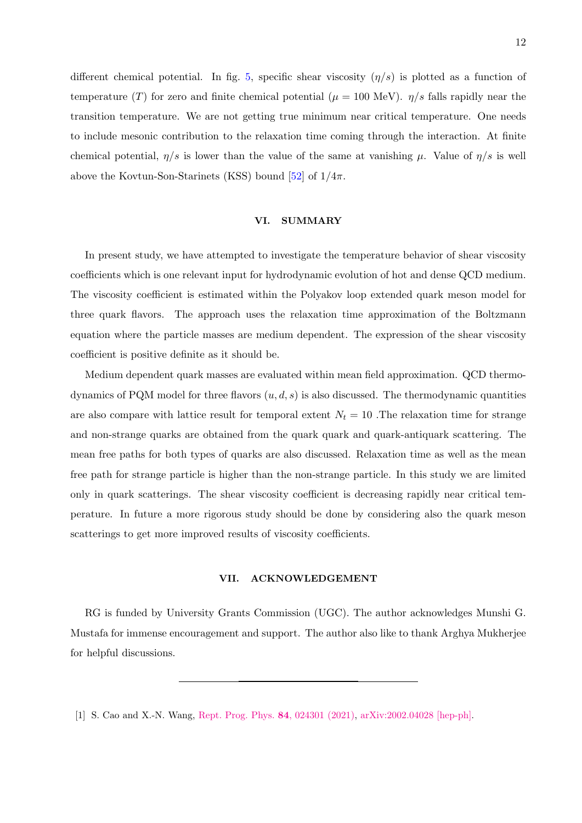different chemical potential. In fig. [5,](#page-10-2) specific shear viscosity  $(\eta/s)$  is plotted as a function of temperature (T) for zero and finite chemical potential ( $\mu = 100 \text{ MeV}$ ).  $\eta/s$  falls rapidly near the transition temperature. We are not getting true minimum near critical temperature. One needs to include mesonic contribution to the relaxation time coming through the interaction. At finite chemical potential,  $\eta/s$  is lower than the value of the same at vanishing  $\mu$ . Value of  $\eta/s$  is well above the Kovtun-Son-Starinets (KSS) bound [\[52\]](#page-13-19) of  $1/4\pi$ .

## <span id="page-11-1"></span>VI. SUMMARY

In present study, we have attempted to investigate the temperature behavior of shear viscosity coefficients which is one relevant input for hydrodynamic evolution of hot and dense QCD medium. The viscosity coefficient is estimated within the Polyakov loop extended quark meson model for three quark flavors. The approach uses the relaxation time approximation of the Boltzmann equation where the particle masses are medium dependent. The expression of the shear viscosity coefficient is positive definite as it should be.

Medium dependent quark masses are evaluated within mean field approximation. QCD thermodynamics of PQM model for three flavors  $(u, d, s)$  is also discussed. The thermodynamic quantities are also compare with lattice result for temporal extent  $N_t = 10$ . The relaxation time for strange and non-strange quarks are obtained from the quark quark and quark-antiquark scattering. The mean free paths for both types of quarks are also discussed. Relaxation time as well as the mean free path for strange particle is higher than the non-strange particle. In this study we are limited only in quark scatterings. The shear viscosity coefficient is decreasing rapidly near critical temperature. In future a more rigorous study should be done by considering also the quark meson scatterings to get more improved results of viscosity coefficients.

### VII. ACKNOWLEDGEMENT

RG is funded by University Grants Commission (UGC). The author acknowledges Munshi G. Mustafa for immense encouragement and support. The author also like to thank Arghya Mukherjee for helpful discussions.

<span id="page-11-0"></span><sup>[1]</sup> S. Cao and X.-N. Wang, [Rept. Prog. Phys.](http://dx.doi.org/10.1088/1361-6633/abc22b) 84, 024301 (2021), [arXiv:2002.04028 \[hep-ph\].](http://arxiv.org/abs/2002.04028)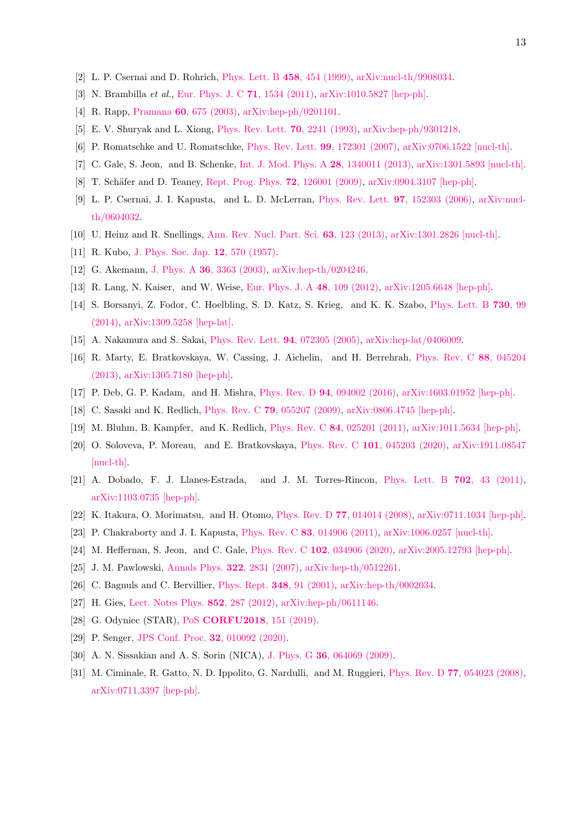- <span id="page-12-1"></span><span id="page-12-0"></span>[2] L. P. Csernai and D. Rohrich, [Phys. Lett. B](http://dx.doi.org/10.1016/S0370-2693(99)00615-2) 458, 454 (1999), [arXiv:nucl-th/9908034.](http://arxiv.org/abs/nucl-th/9908034)
- <span id="page-12-2"></span>[3] N. Brambilla et al., [Eur. Phys. J. C](http://dx.doi.org/ 10.1140/epjc/s10052-010-1534-9) 71, 1534 (2011), [arXiv:1010.5827 \[hep-ph\].](http://arxiv.org/abs/1010.5827)
- <span id="page-12-3"></span>[4] R. Rapp, Pramana 60[, 675 \(2003\),](http://dx.doi.org/10.1007/BF02705167) [arXiv:hep-ph/0201101.](http://arxiv.org/abs/hep-ph/0201101)
- <span id="page-12-4"></span>[5] E. V. Shuryak and L. Xiong, [Phys. Rev. Lett.](http://dx.doi.org/10.1103/PhysRevLett.70.2241) 70, 2241 (1993), [arXiv:hep-ph/9301218.](http://arxiv.org/abs/hep-ph/9301218)
- <span id="page-12-5"></span>[6] P. Romatschke and U. Romatschke, [Phys. Rev. Lett.](http://dx.doi.org/10.1103/PhysRevLett.99.172301) 99, 172301 (2007), [arXiv:0706.1522 \[nucl-th\].](http://arxiv.org/abs/0706.1522)
- <span id="page-12-6"></span>[7] C. Gale, S. Jeon, and B. Schenke, [Int. J. Mod. Phys. A](http://dx.doi.org/10.1142/S0217751X13400113) 28, 1340011 (2013), [arXiv:1301.5893 \[nucl-th\].](http://arxiv.org/abs/1301.5893)
- <span id="page-12-7"></span>[8] T. Schäfer and D. Teaney, [Rept. Prog. Phys.](http://dx.doi.org/10.1088/0034-4885/72/12/126001) **72**, 126001 (2009), [arXiv:0904.3107 \[hep-ph\].](http://arxiv.org/abs/0904.3107)
- [9] L. P. Csernai, J. I. Kapusta, and L. D. McLerran, [Phys. Rev. Lett.](http://dx.doi.org/10.1103/PhysRevLett.97.152303) 97, 152303 (2006), [arXiv:nucl](http://arxiv.org/abs/nucl-th/0604032)[th/0604032.](http://arxiv.org/abs/nucl-th/0604032)
- <span id="page-12-9"></span><span id="page-12-8"></span>[10] U. Heinz and R. Snellings, [Ann. Rev. Nucl. Part. Sci.](http://dx.doi.org/10.1146/annurev-nucl-102212-170540) 63, 123 (2013), [arXiv:1301.2826 \[nucl-th\].](http://arxiv.org/abs/1301.2826)
- [11] R. Kubo, [J. Phys. Soc. Jap.](http://dx.doi.org/10.1143/JPSJ.12.570) **12**, 570 (1957).
- <span id="page-12-10"></span>[12] G. Akemann, J. Phys. A **36**[, 3363 \(2003\),](http://dx.doi.org/10.1088/0305-4470/36/12/328) [arXiv:hep-th/0204246.](http://arxiv.org/abs/hep-th/0204246)
- <span id="page-12-11"></span>[13] R. Lang, N. Kaiser, and W. Weise, [Eur. Phys. J. A](http://dx.doi.org/10.1140/epja/i2012-12109-3) 48, 109 (2012), [arXiv:1205.6648 \[hep-ph\].](http://arxiv.org/abs/1205.6648)
- [14] S. Borsanyi, Z. Fodor, C. Hoelbling, S. D. Katz, S. Krieg, and K. K. Szabo, [Phys. Lett. B](http://dx.doi.org/ 10.1016/j.physletb.2014.01.007) 730, 99 [\(2014\),](http://dx.doi.org/ 10.1016/j.physletb.2014.01.007) [arXiv:1309.5258 \[hep-lat\].](http://arxiv.org/abs/1309.5258)
- <span id="page-12-13"></span><span id="page-12-12"></span>[15] A. Nakamura and S. Sakai, [Phys. Rev. Lett.](http://dx.doi.org/10.1103/PhysRevLett.94.072305) 94, 072305 (2005), [arXiv:hep-lat/0406009.](http://arxiv.org/abs/hep-lat/0406009)
- [16] R. Marty, E. Bratkovskaya, W. Cassing, J. Aichelin, and H. Berrehrah, [Phys. Rev. C](http://dx.doi.org/ 10.1103/PhysRevC.88.045204) 88, 045204 [\(2013\),](http://dx.doi.org/ 10.1103/PhysRevC.88.045204) [arXiv:1305.7180 \[hep-ph\].](http://arxiv.org/abs/1305.7180)
- <span id="page-12-15"></span><span id="page-12-14"></span>[17] P. Deb, G. P. Kadam, and H. Mishra, Phys. Rev. D 94[, 094002 \(2016\),](http://dx.doi.org/10.1103/PhysRevD.94.094002) [arXiv:1603.01952 \[hep-ph\].](http://arxiv.org/abs/1603.01952)
- [18] C. Sasaki and K. Redlich, Phys. Rev. C 79[, 055207 \(2009\),](http://dx.doi.org/10.1103/PhysRevC.79.055207) [arXiv:0806.4745 \[hep-ph\].](http://arxiv.org/abs/0806.4745)
- <span id="page-12-16"></span>[19] M. Bluhm, B. Kampfer, and K. Redlich, Phys. Rev. C 84[, 025201 \(2011\),](http://dx.doi.org/10.1103/PhysRevC.84.025201) [arXiv:1011.5634 \[hep-ph\].](http://arxiv.org/abs/1011.5634)
- [20] O. Soloveva, P. Moreau, and E. Bratkovskaya, Phys. Rev. C 101[, 045203 \(2020\),](http://dx.doi.org/10.1103/PhysRevC.101.045203) [arXiv:1911.08547](http://arxiv.org/abs/1911.08547) [\[nucl-th\].](http://arxiv.org/abs/1911.08547)
- <span id="page-12-17"></span>[21] A. Dobado, F. J. Llanes-Estrada, and J. M. Torres-Rincon, [Phys. Lett. B](http://dx.doi.org/ 10.1016/j.physletb.2011.06.059) 702, 43 (2011), [arXiv:1103.0735 \[hep-ph\].](http://arxiv.org/abs/1103.0735)
- <span id="page-12-19"></span><span id="page-12-18"></span>[22] K. Itakura, O. Morimatsu, and H. Otomo, Phys. Rev. D 77[, 014014 \(2008\),](http://dx.doi.org/10.1103/PhysRevD.77.014014) [arXiv:0711.1034 \[hep-ph\].](http://arxiv.org/abs/0711.1034)
- <span id="page-12-20"></span>[23] P. Chakraborty and J. I. Kapusta, Phys. Rev. C 83[, 014906 \(2011\),](http://dx.doi.org/10.1103/PhysRevC.83.014906) [arXiv:1006.0257 \[nucl-th\].](http://arxiv.org/abs/1006.0257)
- <span id="page-12-21"></span>[24] M. Heffernan, S. Jeon, and C. Gale, Phys. Rev. C 102[, 034906 \(2020\),](http://dx.doi.org/10.1103/PhysRevC.102.034906) [arXiv:2005.12793 \[hep-ph\].](http://arxiv.org/abs/2005.12793)
- [25] J. M. Pawlowski, Annals Phys. 322[, 2831 \(2007\),](http://dx.doi.org/10.1016/j.aop.2007.01.007) [arXiv:hep-th/0512261.](http://arxiv.org/abs/hep-th/0512261)
- <span id="page-12-22"></span>[26] C. Bagnuls and C. Bervillier, [Phys. Rept.](http://dx.doi.org/10.1016/S0370-1573(00)00137-X) 348, 91 (2001), [arXiv:hep-th/0002034.](http://arxiv.org/abs/hep-th/0002034)
- <span id="page-12-23"></span>[27] H. Gies, [Lect. Notes Phys.](http://dx.doi.org/10.1007/978-3-642-27320-9_6) 852, 287 (2012), [arXiv:hep-ph/0611146.](http://arxiv.org/abs/hep-ph/0611146)
- <span id="page-12-24"></span>[28] G. Odyniec (STAR), PoS [CORFU2018](http://dx.doi.org/ 10.22323/1.347.0151), 151 (2019).
- <span id="page-12-25"></span>[29] P. Senger, [JPS Conf. Proc.](http://dx.doi.org/10.7566/JPSCP.32.010092) **32**, 010092 (2020).
- <span id="page-12-26"></span>[30] A. N. Sissakian and A. S. Sorin (NICA), J. Phys. G **36**[, 064069 \(2009\).](http://dx.doi.org/ 10.1088/0954-3899/36/6/064069)
- [31] M. Ciminale, R. Gatto, N. D. Ippolito, G. Nardulli, and M. Ruggieri, Phys. Rev. D 77[, 054023 \(2008\),](http://dx.doi.org/ 10.1103/PhysRevD.77.054023) [arXiv:0711.3397 \[hep-ph\].](http://arxiv.org/abs/0711.3397)